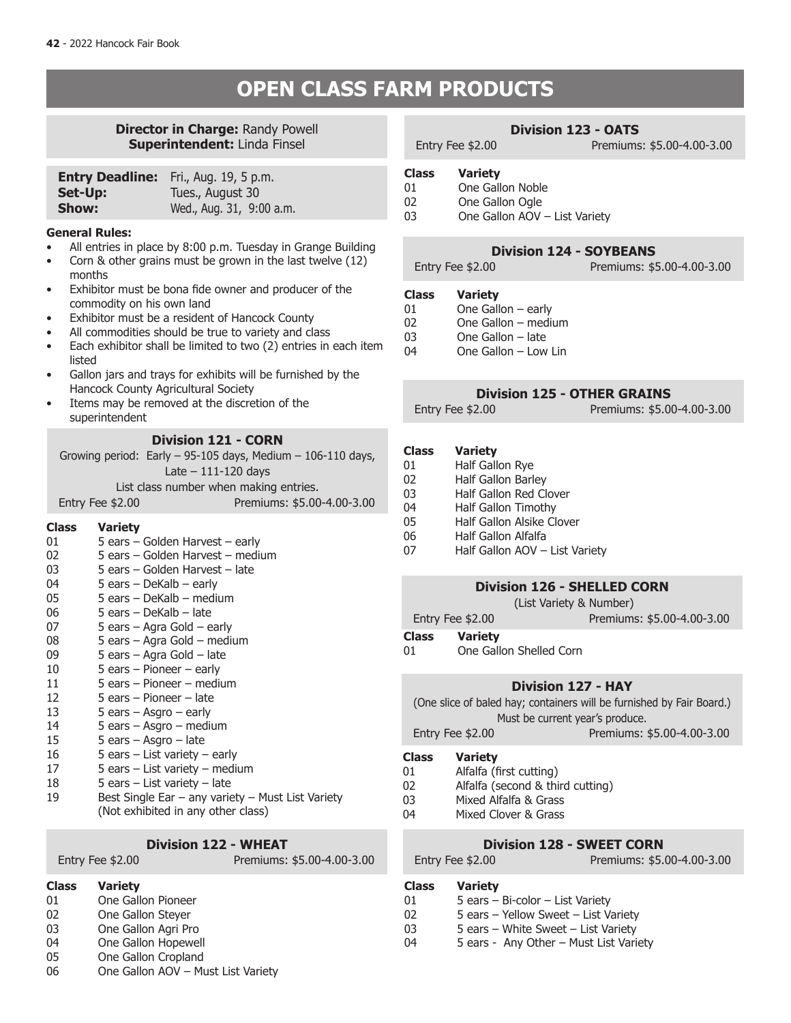### **BIGGS FARM PRODUCTS**

### **Director in Charge:** Randy Powell **Superintendent:** Linda Finsel

|         | <b>Entry Deadline:</b> Fri., Aug. 19, 5 p.m. |
|---------|----------------------------------------------|
| Set-Up: | Tues., August 30                             |
| Show:   | Wed., Aug. 31, 9:00 a.m.                     |

#### **General Rules:**

- All entries in place by 8:00 p.m. Tuesday in Grange Building
- Corn  $\&$  other grains must be grown in the last twelve (12) months
- Exhibitor must be bona fide owner and producer of the commodity on his own land
- Exhibitor must be a resident of Hancock County
- All commodities should be true to variety and class
- Each exhibitor shall be limited to two (2) entries in each item listed
- Gallon jars and trays for exhibits will be furnished by the Hancock County Agricultural Society
- Items may be removed at the discretion of the superintendent

### **Division 121 - CORN**

| Growing period: Early $-$ 95-105 days, Medium $-$ 106-110 days, |                            |  |
|-----------------------------------------------------------------|----------------------------|--|
| Late $-111-120$ davs                                            |                            |  |
| List class number when making entries.                          |                            |  |
| Entry Fee \$2.00                                                | Premiums: \$5.00-4.00-3.00 |  |

### **Class Variety**

| 01 | 5 ears – Golden Harvest – early                   |
|----|---------------------------------------------------|
| 02 | 5 ears – Golden Harvest – medium                  |
| 03 | 5 ears – Golden Harvest – late                    |
| 04 | 5 ears – DeKalb – early                           |
| 05 | 5 ears – DeKalb – medium                          |
| 06 | 5 ears – DeKalb – late                            |
| 07 | 5 ears – Agra Gold – early                        |
| 08 | 5 ears – Agra Gold – medium                       |
| 09 | 5 ears – Agra Gold – late                         |
| 10 | 5 ears $-$ Pioneer $-$ early                      |
| 11 | 5 ears – Pioneer – medium                         |
| 12 | 5 ears – Pioneer – late                           |
| 13 | 5 ears $-$ Asgro $-$ early                        |
| 14 | 5 ears – Asgro – medium                           |
| 15 | 5 ears – Asgro – late                             |
| 16 | 5 ears – List variety – early                     |
| 17 | 5 ears – List variety – medium                    |
| 18 | 5 ears – List variety – late                      |
| 19 | Best Single Ear - any variety - Must List Variety |
|    | (Not exhibited in any other class)                |

### **Division 122 - WHEAT**

Entry Fee \$2.00 Premiums: \$5.00-4.00-3.00

### **Class Variety**

- 01 One Gallon Pioneer<br>02 One Gallon Stever
- One Gallon Steyer
- 03 One Gallon Agri Pro
- 04 One Gallon Hopewell<br>05 One Gallon Cropland
- One Gallon Cropland
- 06 One Gallon AOV Must List Variety

### **Division 123 - OATS**

Entry Fee \$2.00 Premiums: \$5.00-4.00-3.00

- **Class Variety**
- 01 One Gallon Noble<br>02 One Gallon Ogle
- 02 One Gallon Ogle<br>03 One Gallon AOV
- One Gallon AOV List Variety

### **Division 124 - SOYBEANS**

Entry Fee \$2.00 Premiums: \$5.00-4.00-3.00

### **Class Variety**

- One Gallon  $-$  early
- 
- One Gallon late
- 04 One Gallon Low Lin

### **Division 125 - OTHER GRAINS Division 125 - OTHER GRAINS**

Entry Fee: \$2.00 Premiums: \$5.00-4.00-3.00 Entry Fee \$2.00 Premiums: \$5.00-4.00-3.00

### **Class Variety**

- 01 Half Gallon Rye<br>
02 Half Gallon Barl
- Half Gallon Barley
- 03 Half Gallon Red Clover
- 04 Half Gallon Timothy<br>05 Half Gallon Alsike Cli
- Half Gallon Alsike Clover
- 06 Half Gallon Alfalfa<br>07 Half Gallon AOV
	- Half Gallon AOV List Variety

### **Division 126 - SHELLED CORN**

(List Variety & Number)

Entry Fee \$2.00 Premiums: \$5.00-4.00-3.00

- **Class Variety**
- 01 One Gallon Shelled Corn

### **Division 127 - HAY**

(One slice of baled hay; containers will be furnished by Fair Board.) Must be current year's produce.

Entry Fee \$2.00 Premiums: \$5.00-4.00-3.00

#### **Class Variety**

- 01 Alfalfa (first cutting)
- 02 Alfalfa (second & third cutting)<br>03 Mixed Alfalfa & Grass
- 03 Mixed Alfalfa & Grass<br>04 Mixed Clover & Grass
- Mixed Clover & Grass

# **Division 128 - SWEET CORN**<br>Entry Fee \$2.00 Premiums: \$5.

- Premiums: \$5.00-4.00-3.00
- **Class Variety**
- 01 5 ears Bi-color List Variety<br>02 5 ears Yellow Sweet List V.
	- 5 ears Yellow Sweet List Variety
- 03 5 ears White Sweet List Variety
- 04 5 ears Any Other Must List Variety

# 02 One Gallon – medium<br>03 One Gallon – late

- 
- 
-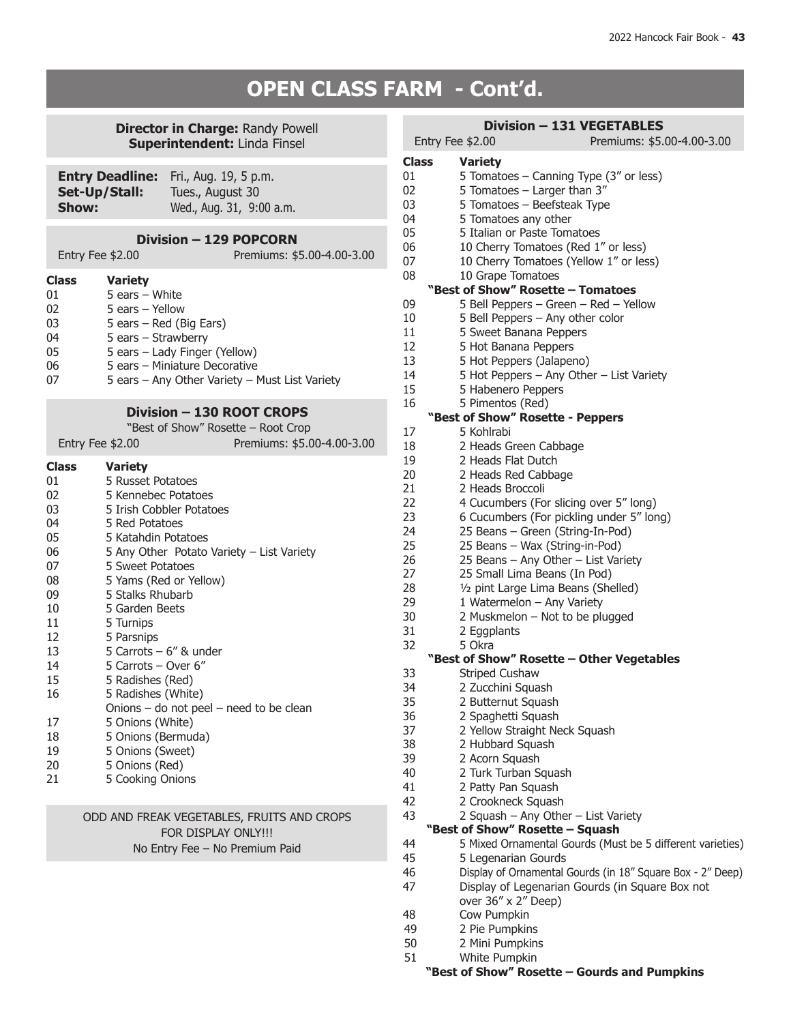# **BPEN CLASS FARM - Cont'd.**

### **Director in Charge: Randy Powell Superintendent:** Linda Finsel

| Set-Up/Stall:<br>Show: | <b>Entry Deadline:</b> Fri., Aug. 19, 5 p.m.<br>Tues., August 30<br>Wed., Aug. 31, 9:00 a.m. |
|------------------------|----------------------------------------------------------------------------------------------|
|                        |                                                                                              |

### **Division – 129 POPCORN**

|              | Entry Fee \$2.00          | Premiums: \$5.00-4.00-3.00 |
|--------------|---------------------------|----------------------------|
| <b>Class</b> | <b>Variety</b>            |                            |
| 01           | 5 ears $-$ White          |                            |
| 02           | 5 ears - Yellow           |                            |
| 03           | 5 ears $-$ Red (Big Ears) |                            |
| 04           | 5 ears – Strawberry       |                            |

| UT. | $J$ cais $J$ Judivide by                       |
|-----|------------------------------------------------|
| 05  | 5 ears – Lady Finger (Yellow)                  |
| 06  | 5 ears – Miniature Decorative                  |
| 07  | 5 ears - Any Other Variety - Must List Variety |

### **Division – 130 ROOT CROPS**

|                   | "Best of Show" Rosette – Root Crop |
|-------------------|------------------------------------|
| Entry Fee $$2.00$ | Premiums: \$5.00-4.00-3.00         |

### **Class Variety**

| ciass | variety                                   |
|-------|-------------------------------------------|
| 01    | 5 Russet Potatoes                         |
| 02    | 5 Kennebec Potatoes                       |
| 03    | 5 Irish Cobbler Potatoes                  |
| 04    | 5 Red Potatoes                            |
| 05    | 5 Katahdin Potatoes                       |
| 06    | 5 Any Other Potato Variety - List Variety |
| 07    | 5 Sweet Potatoes                          |
| 08    | 5 Yams (Red or Yellow)                    |
| 09    | 5 Stalks Rhubarb                          |
| 10    | 5 Garden Beets                            |
| 11    | 5 Turnips                                 |
| 12    | 5 Parsnips                                |
| 13    | 5 Carrots $-6$ " & under                  |
| 14    | 5 Carrots - Over 6"                       |
| 15    | 5 Radishes (Red)                          |
| 16    | 5 Radishes (White)                        |
|       | Onions - do not peel - need to be clean   |
| 17    | 5 Onions (White)                          |
| 18    | 5 Onions (Bermuda)                        |
| 19    | 5 Onions (Sweet)                          |
| 20    | 5 Onions (Red)                            |
| 21    | 5 Cooking Onions                          |
|       |                                           |

### ODD AND FREAK VEGETABLES, FRUITS AND CROPS FOR DISPLAY ONLY!!! No Entry Fee – No Premium Paid

### **Division – 131 VEGETABLES**

| Entry Fee \$2.00        |                                           | Premiums: \$5.00-4.00-3.00                                 |
|-------------------------|-------------------------------------------|------------------------------------------------------------|
| Class<br><b>Variety</b> |                                           |                                                            |
| 01                      | 5 Tomatoes - Canning Type (3" or less)    |                                                            |
| 02                      | 5 Tomatoes - Larger than 3"               |                                                            |
| 03                      | 5 Tomatoes - Beefsteak Type               |                                                            |
| 04                      | 5 Tomatoes any other                      |                                                            |
| 05                      | 5 Italian or Paste Tomatoes               |                                                            |
| 06                      |                                           |                                                            |
|                         | 10 Cherry Tomatoes (Red 1" or less)       |                                                            |
| 07                      | 10 Cherry Tomatoes (Yellow 1" or less)    |                                                            |
| 08                      | 10 Grape Tomatoes                         |                                                            |
|                         | "Best of Show" Rosette - Tomatoes         |                                                            |
| 09                      | 5 Bell Peppers - Green - Red - Yellow     |                                                            |
| 10                      | 5 Bell Peppers - Any other color          |                                                            |
| 11                      | 5 Sweet Banana Peppers                    |                                                            |
| 12                      | 5 Hot Banana Peppers                      |                                                            |
| 13                      | 5 Hot Peppers (Jalapeno)                  |                                                            |
| 14                      | 5 Hot Peppers - Any Other - List Variety  |                                                            |
| 15                      | 5 Habenero Peppers                        |                                                            |
| 16                      | 5 Pimentos (Red)                          |                                                            |
|                         | "Best of Show" Rosette - Peppers          |                                                            |
| 5 Kohlrabi<br>17        |                                           |                                                            |
| 18                      | 2 Heads Green Cabbage                     |                                                            |
| 19                      | 2 Heads Flat Dutch                        |                                                            |
| 20                      | 2 Heads Red Cabbage                       |                                                            |
| 21                      | 2 Heads Broccoli                          |                                                            |
| 22                      | 4 Cucumbers (For slicing over 5" long)    |                                                            |
| 23                      | 6 Cucumbers (For pickling under 5" long)  |                                                            |
| 24                      | 25 Beans - Green (String-In-Pod)          |                                                            |
| 25                      | 25 Beans - Wax (String-in-Pod)            |                                                            |
| 26                      | 25 Beans - Any Other - List Variety       |                                                            |
| 27                      | 25 Small Lima Beans (In Pod)              |                                                            |
| 28                      | 1/2 pint Large Lima Beans (Shelled)       |                                                            |
| 29                      | 1 Watermelon - Any Variety                |                                                            |
| 30                      | 2 Muskmelon - Not to be plugged           |                                                            |
|                         |                                           |                                                            |
| 31<br>5 Okra            | 2 Eggplants                               |                                                            |
| 32                      |                                           |                                                            |
|                         | "Best of Show" Rosette - Other Vegetables |                                                            |
| 33                      | <b>Striped Cushaw</b>                     |                                                            |
| 34                      | 2 Zucchini Squash                         |                                                            |
| 35                      | 2 Butternut Squash                        |                                                            |
| 36                      | 2 Spaghetti Squash                        |                                                            |
| 37                      | 2 Yellow Straight Neck Squash             |                                                            |
| 38                      | 2 Hubbard Squash                          |                                                            |
| 39                      | 2 Acorn Squash                            |                                                            |
| 40                      | 2 Turk Turban Squash                      |                                                            |
| 41                      | 2 Patty Pan Squash                        |                                                            |
| 42                      | 2 Crookneck Squash                        |                                                            |
| 43                      | 2 Squash - Any Other - List Variety       |                                                            |
|                         | "Best of Show" Rosette - Squash           |                                                            |
| 44                      |                                           | 5 Mixed Ornamental Gourds (Must be 5 different varieties)  |
| 45                      | 5 Legenarian Gourds                       |                                                            |
| 46                      |                                           | Display of Ornamental Gourds (in 18" Square Box - 2" Deep) |
| 47                      |                                           | Display of Legenarian Gourds (in Square Box not            |
|                         | over 36" x 2" Deep)                       |                                                            |
| 48                      | Cow Pumpkin                               |                                                            |
| 49                      | 2 Pie Pumpkins                            |                                                            |
| 50                      | 2 Mini Pumpkins                           |                                                            |
| 51                      | <b>White Pumpkin</b>                      |                                                            |

**"Best of Show" Rosette – Gourds and Pumpkins**